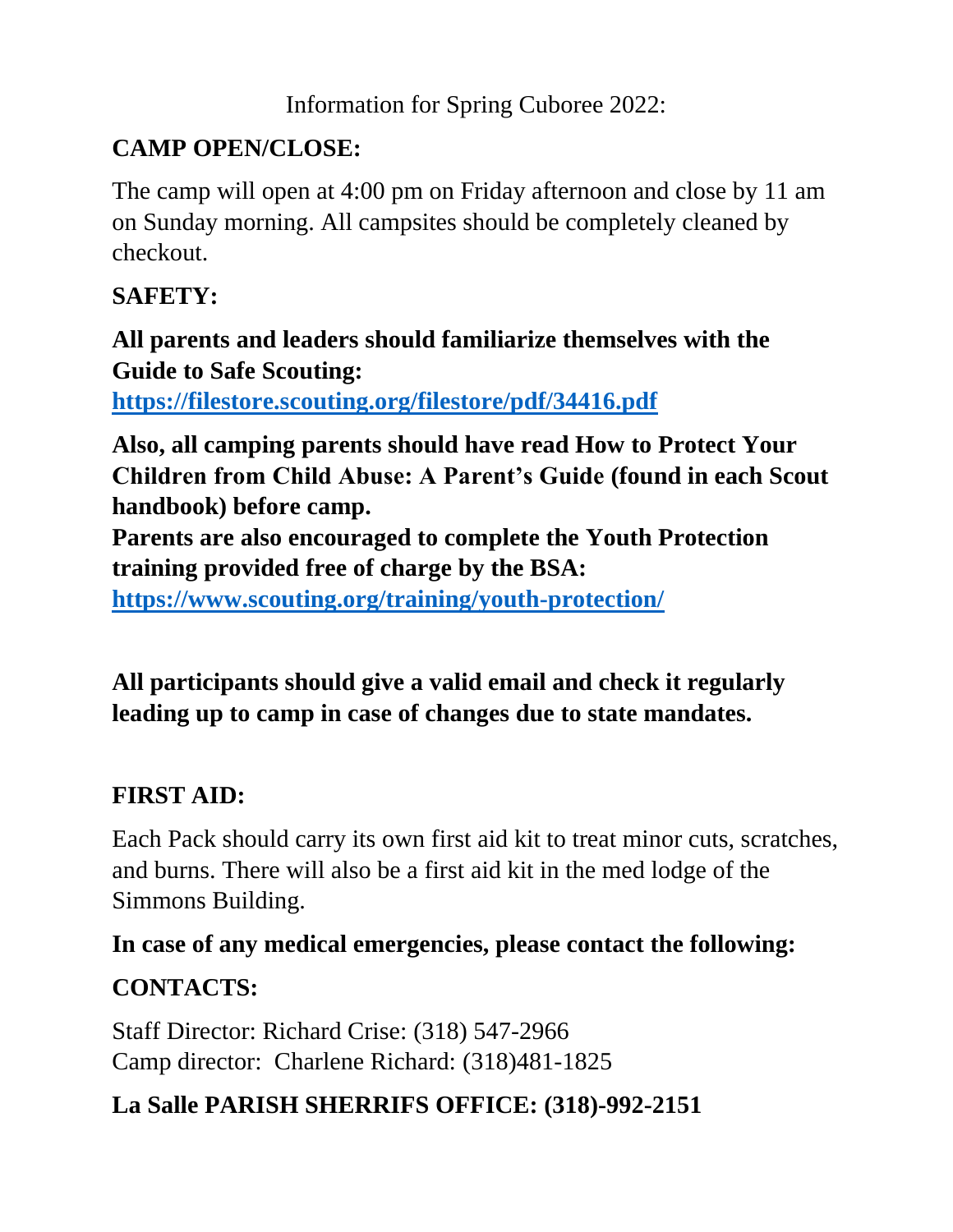Information for Spring Cuboree 2022:

## **CAMP OPEN/CLOSE:**

The camp will open at 4:00 pm on Friday afternoon and close by 11 am on Sunday morning. All campsites should be completely cleaned by checkout.

### **SAFETY:**

### **All parents and leaders should familiarize themselves with the Guide to Safe Scouting:**

**<https://filestore.scouting.org/filestore/pdf/34416.pdf>**

**Also, all camping parents should have read How to Protect Your Children from Child Abuse: A Parent's Guide (found in each Scout handbook) before camp.** 

**Parents are also encouraged to complete the Youth Protection training provided free of charge by the BSA:**

**<https://www.scouting.org/training/youth-protection/>**

### **All participants should give a valid email and check it regularly leading up to camp in case of changes due to state mandates.**

### **FIRST AID:**

Each Pack should carry its own first aid kit to treat minor cuts, scratches, and burns. There will also be a first aid kit in the med lodge of the Simmons Building.

### **In case of any medical emergencies, please contact the following:**

# **CONTACTS:**

Staff Director: Richard Crise: (318) 547-2966 Camp director: Charlene Richard: (318)481-1825

## **La Salle PARISH SHERRIFS OFFICE: (318)-992-2151**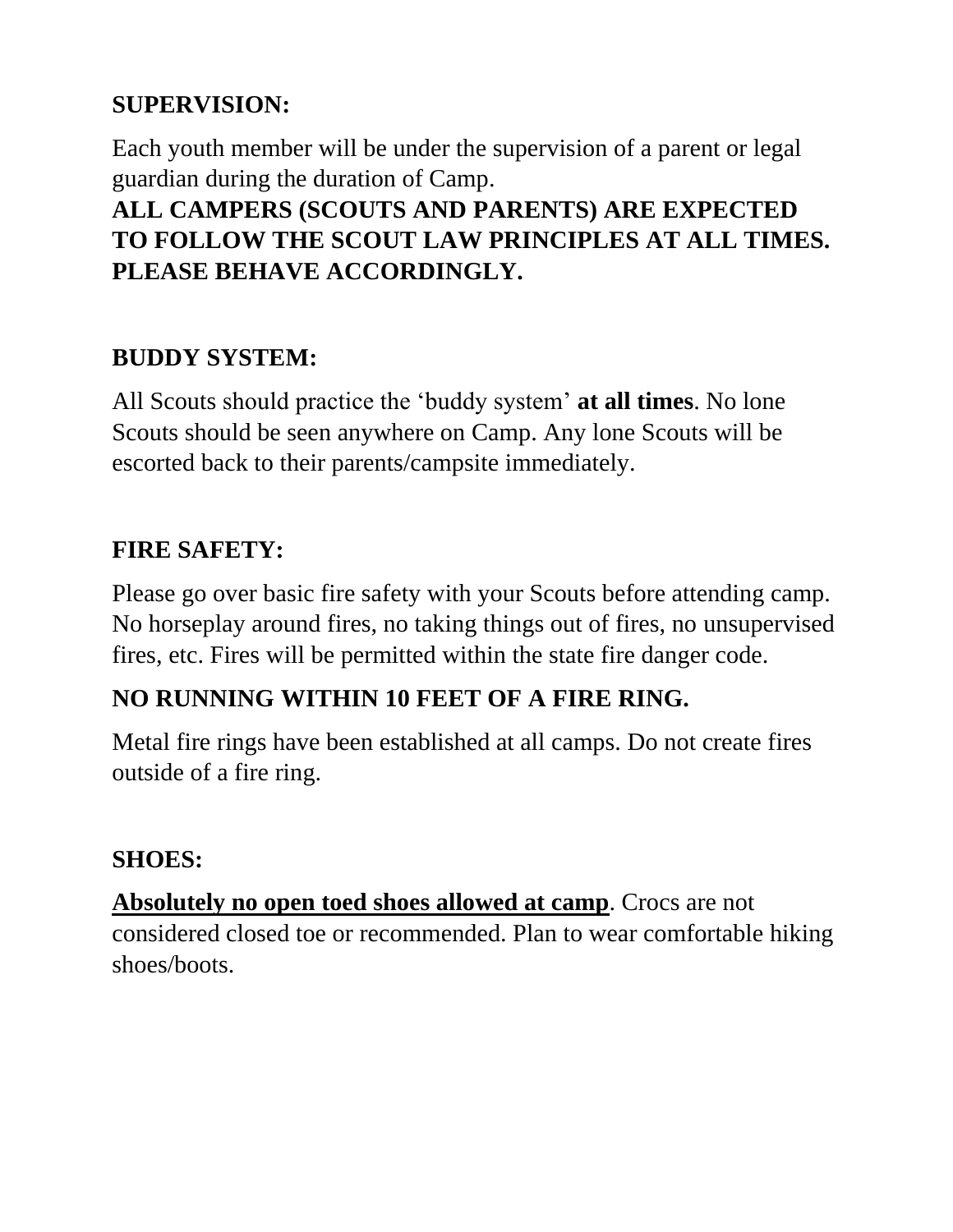#### **SUPERVISION:**

Each youth member will be under the supervision of a parent or legal guardian during the duration of Camp.

### **ALL CAMPERS (SCOUTS AND PARENTS) ARE EXPECTED TO FOLLOW THE SCOUT LAW PRINCIPLES AT ALL TIMES. PLEASE BEHAVE ACCORDINGLY.**

### **BUDDY SYSTEM:**

All Scouts should practice the 'buddy system' **at all times**. No lone Scouts should be seen anywhere on Camp. Any lone Scouts will be escorted back to their parents/campsite immediately.

### **FIRE SAFETY:**

Please go over basic fire safety with your Scouts before attending camp. No horseplay around fires, no taking things out of fires, no unsupervised fires, etc. Fires will be permitted within the state fire danger code.

### **NO RUNNING WITHIN 10 FEET OF A FIRE RING.**

Metal fire rings have been established at all camps. Do not create fires outside of a fire ring.

#### **SHOES:**

**Absolutely no open toed shoes allowed at camp**. Crocs are not considered closed toe or recommended. Plan to wear comfortable hiking shoes/boots.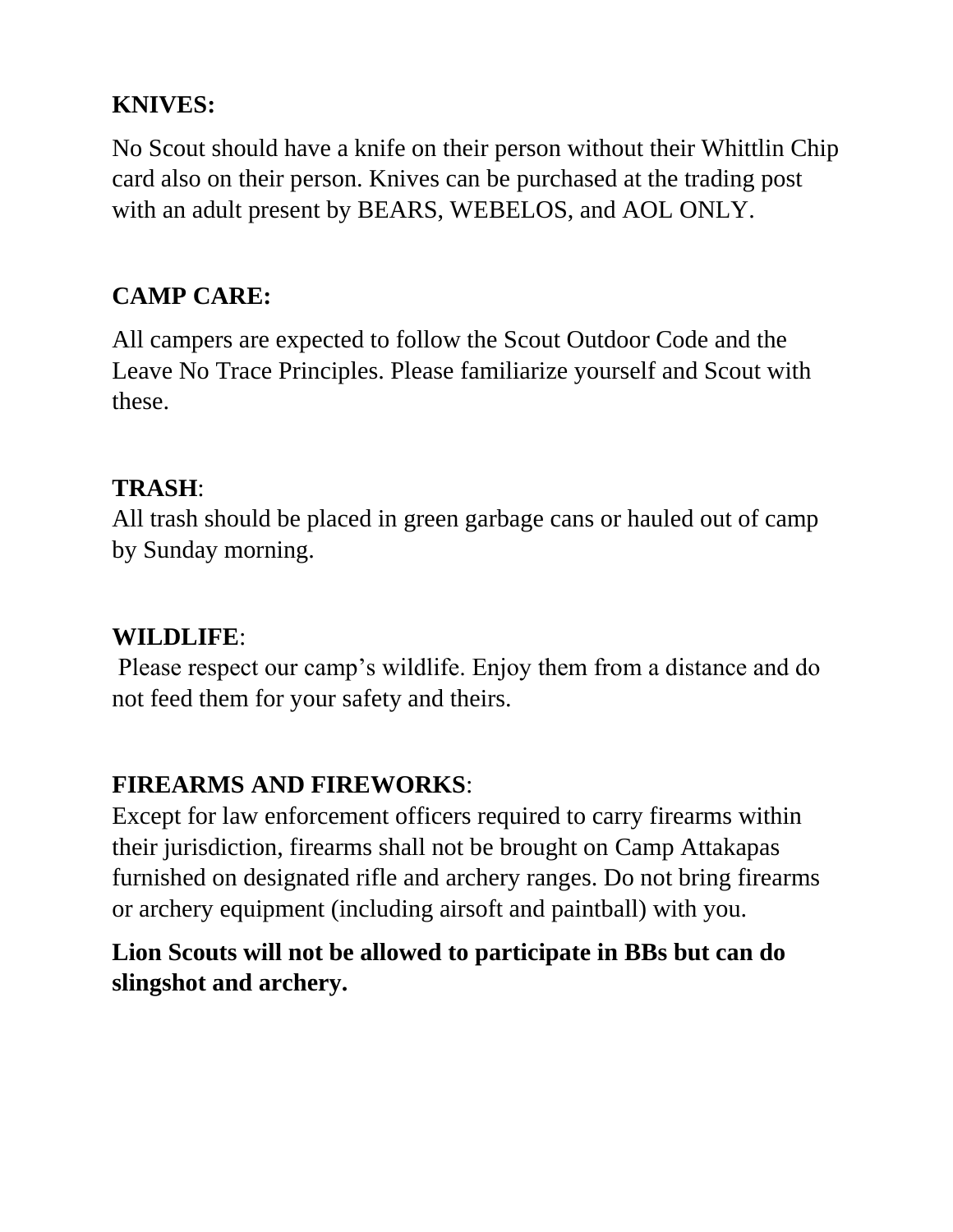#### **KNIVES:**

No Scout should have a knife on their person without their Whittlin Chip card also on their person. Knives can be purchased at the trading post with an adult present by BEARS, WEBELOS, and AOL ONLY.

### **CAMP CARE:**

All campers are expected to follow the Scout Outdoor Code and the Leave No Trace Principles. Please familiarize yourself and Scout with these.

#### **TRASH**:

All trash should be placed in green garbage cans or hauled out of camp by Sunday morning.

#### **WILDLIFE**:

Please respect our camp's wildlife. Enjoy them from a distance and do not feed them for your safety and theirs.

### **FIREARMS AND FIREWORKS**:

Except for law enforcement officers required to carry firearms within their jurisdiction, firearms shall not be brought on Camp Attakapas furnished on designated rifle and archery ranges. Do not bring firearms or archery equipment (including airsoft and paintball) with you.

### **Lion Scouts will not be allowed to participate in BBs but can do slingshot and archery.**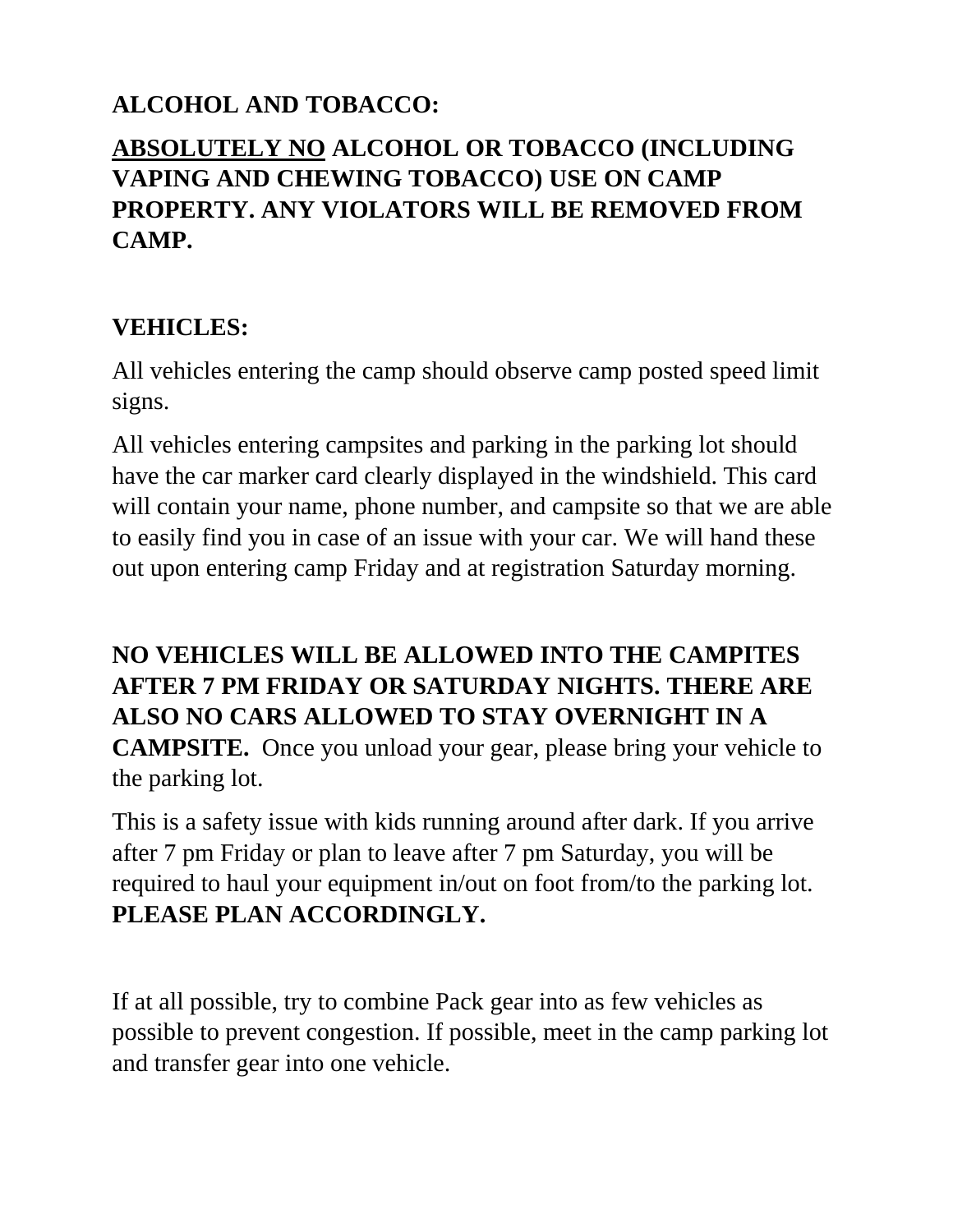### **ALCOHOL AND TOBACCO:**

### **ABSOLUTELY NO ALCOHOL OR TOBACCO (INCLUDING VAPING AND CHEWING TOBACCO) USE ON CAMP PROPERTY. ANY VIOLATORS WILL BE REMOVED FROM CAMP.**

#### **VEHICLES:**

All vehicles entering the camp should observe camp posted speed limit signs.

All vehicles entering campsites and parking in the parking lot should have the car marker card clearly displayed in the windshield. This card will contain your name, phone number, and campsite so that we are able to easily find you in case of an issue with your car. We will hand these out upon entering camp Friday and at registration Saturday morning.

#### **NO VEHICLES WILL BE ALLOWED INTO THE CAMPITES AFTER 7 PM FRIDAY OR SATURDAY NIGHTS. THERE ARE ALSO NO CARS ALLOWED TO STAY OVERNIGHT IN A**

**CAMPSITE.** Once you unload your gear, please bring your vehicle to the parking lot.

This is a safety issue with kids running around after dark. If you arrive after 7 pm Friday or plan to leave after 7 pm Saturday, you will be required to haul your equipment in/out on foot from/to the parking lot. **PLEASE PLAN ACCORDINGLY.**

If at all possible, try to combine Pack gear into as few vehicles as possible to prevent congestion. If possible, meet in the camp parking lot and transfer gear into one vehicle.